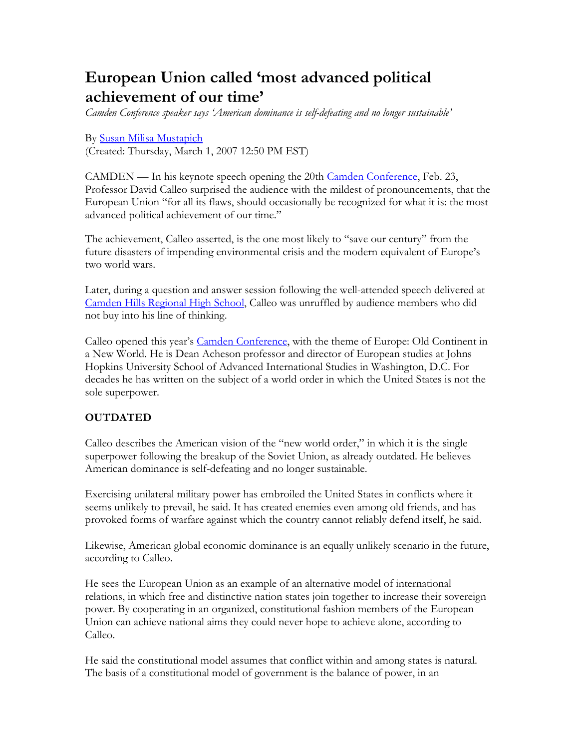# **European Union called 'most advanced political achievement of our time'**

*Camden Conference speaker says 'American dominance is self-defeating and no longer sustainable'*

#### By [Susan Milisa Mustapich](mailto:smustapich@courierpub.com)

(Created: Thursday, March 1, 2007 12:50 PM EST)

CAMDEN — In his keynote speech opening the 20th [Camden Conference,](http://www.camdenconference.org/) Feb. 23, Professor David Calleo surprised the audience with the mildest of pronouncements, that the European Union "for all its flaws, should occasionally be recognized for what it is: the most advanced political achievement of our time."

The achievement, Calleo asserted, is the one most likely to "save our century" from the future disasters of impending environmental crisis and the modern equivalent of Europe's two world wars.

Later, during a question and answer session following the well-attended speech delivered at [Camden Hills Regional High School](http://invserv.fivetowns.net/chrhs/), Calleo was unruffled by audience members who did not buy into his line of thinking.

Calleo opened this year's [Camden Conference,](http://www.camdenconference.org/) with the theme of Europe: Old Continent in a New World. He is Dean Acheson professor and director of European studies at Johns Hopkins University School of Advanced International Studies in Washington, D.C. For decades he has written on the subject of a world order in which the United States is not the sole superpower.

#### **OUTDATED**

Calleo describes the American vision of the "new world order," in which it is the single superpower following the breakup of the Soviet Union, as already outdated. He believes American dominance is self-defeating and no longer sustainable.

Exercising unilateral military power has embroiled the United States in conflicts where it seems unlikely to prevail, he said. It has created enemies even among old friends, and has provoked forms of warfare against which the country cannot reliably defend itself, he said.

Likewise, American global economic dominance is an equally unlikely scenario in the future, according to Calleo.

He sees the European Union as an example of an alternative model of international relations, in which free and distinctive nation states join together to increase their sovereign power. By cooperating in an organized, constitutional fashion members of the European Union can achieve national aims they could never hope to achieve alone, according to Calleo.

He said the constitutional model assumes that conflict within and among states is natural. The basis of a constitutional model of government is the balance of power, in an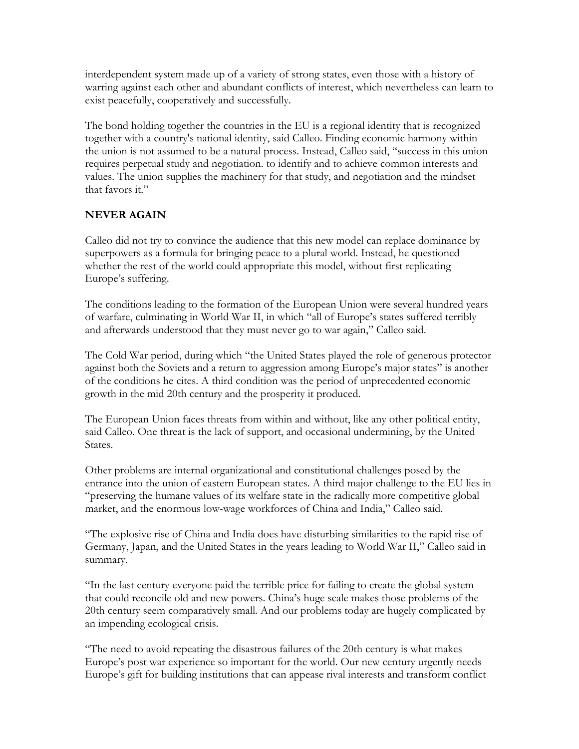interdependent system made up of a variety of strong states, even those with a history of warring against each other and abundant conflicts of interest, which nevertheless can learn to exist peacefully, cooperatively and successfully.

The bond holding together the countries in the EU is a regional identity that is recognized together with a country's national identity, said Calleo. Finding economic harmony within the union is not assumed to be a natural process. Instead, Calleo said, "success in this union requires perpetual study and negotiation. to identify and to achieve common interests and values. The union supplies the machinery for that study, and negotiation and the mindset that favors it."

## **NEVER AGAIN**

Calleo did not try to convince the audience that this new model can replace dominance by superpowers as a formula for bringing peace to a plural world. Instead, he questioned whether the rest of the world could appropriate this model, without first replicating Europe's suffering.

The conditions leading to the formation of the European Union were several hundred years of warfare, culminating in World War II, in which "all of Europe's states suffered terribly and afterwards understood that they must never go to war again," Calleo said.

The Cold War period, during which "the United States played the role of generous protector against both the Soviets and a return to aggression among Europe's major states" is another of the conditions he cites. A third condition was the period of unprecedented economic growth in the mid 20th century and the prosperity it produced.

The European Union faces threats from within and without, like any other political entity, said Calleo. One threat is the lack of support, and occasional undermining, by the United States.

Other problems are internal organizational and constitutional challenges posed by the entrance into the union of eastern European states. A third major challenge to the EU lies in "preserving the humane values of its welfare state in the radically more competitive global market, and the enormous low-wage workforces of China and India," Calleo said.

"The explosive rise of China and India does have disturbing similarities to the rapid rise of Germany, Japan, and the United States in the years leading to World War II," Calleo said in summary.

"In the last century everyone paid the terrible price for failing to create the global system that could reconcile old and new powers. China's huge scale makes those problems of the 20th century seem comparatively small. And our problems today are hugely complicated by an impending ecological crisis.

"The need to avoid repeating the disastrous failures of the 20th century is what makes Europe's post war experience so important for the world. Our new century urgently needs Europe's gift for building institutions that can appease rival interests and transform conflict